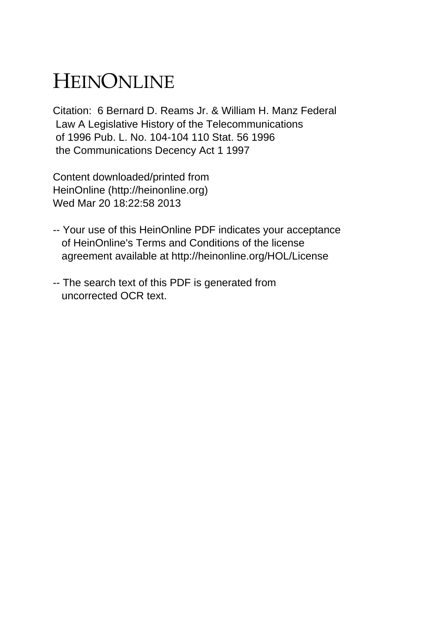# HEINONLINE

Citation: 6 Bernard D. Reams Jr. & William H. Manz Federal Law A Legislative History of the Telecommunications of 1996 Pub. L. No. 104-104 110 Stat. 56 1996 the Communications Decency Act 1 1997

Content downloaded/printed from HeinOnline (http://heinonline.org) Wed Mar 20 18:22:58 2013

- -- Your use of this HeinOnline PDF indicates your acceptance of HeinOnline's Terms and Conditions of the license agreement available at http://heinonline.org/HOL/License
- -- The search text of this PDF is generated from uncorrected OCR text.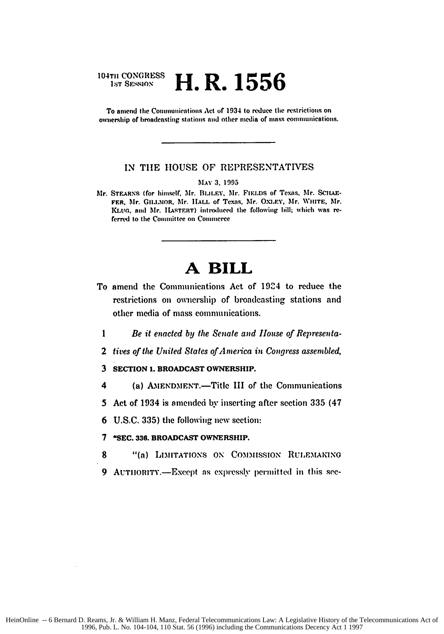### 104TH **CONGRESS H.R. 1556**

To amend the Comnmnicaiions **Act of** 1934 to reduce the restrictions on ownership of broadcasting stations and other media of mass communications.

### **IN TIE HOUSE** OF REPRESENTATIVES

**MAY 3, 1995**

Mr. STEARNS (for himself, Mr. BLILEY, Mr. FIELDS of Texas, Mr. SCHAE-FER, Mr. GILLMOR, Mr. HALL of Texas, Mr. OXLEY, Mr. WHITE, Mr. **lro.un, and** Mr. IIATFRT) introduced the following bill; which **was** referred to the Committee on Commerce

## **A BILL**

- To amend the Communications Act of 1924 to reduce the restrictions on ownership **of** broadcasting stations and other media of mass communications.
	- *1 Be it* enacted *by* the *Senate and House of Representa-*
- 2 tives *of the United States of Ameica in Congress assembled,*

**3 SECTION 1.** BROADCAST OWNERSHIP.

- 4 (a) AMENDMENT.—Title III of the Communications
- 5 Act of 1934 is amended **by** inserting after section **335** (47

6 **U.S.C. 335)** the following new section:

#### **7 "SEC. 336.** BROADCAST OWNERSHIP.

- **8** "(a) LIMITATIONS **ON COMMISSION RULEMAKING**
- 9 AUTHORITY.—Except as expressly permitted in this sec-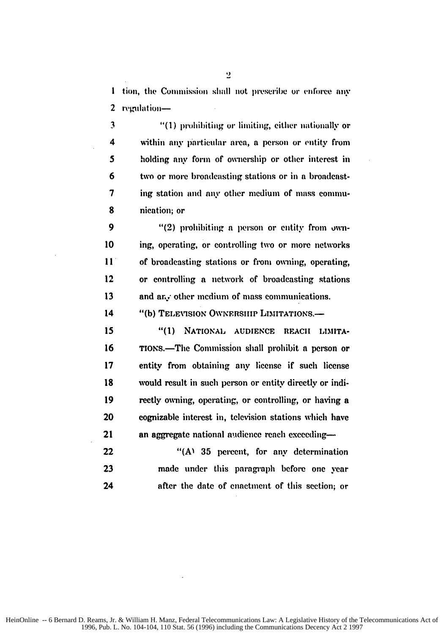1 tion, the Commission shall not prescribe or enforce any  $\mathbf{2}$ regulation-

 $\mathbf{a}$ "(1) prohibiting or limiting, either nationally or 4 within any particular area, a person or entity from 5 holding any form of ownership or other interest in 6 two or more broadcasting stations or in a broadcast-7 ing station and any other medium of mass commu-8 nication; or

9 "(2) prohibiting a person or entity from owning, operating, or controlling two or more networks 10  $11$ of broadcasting stations or from owning, operating. 12 or controlling a network of broadcasting stations 13 and any other medium of mass communications.

14 "(b) TELEVISION OWNERSHIP LIMITATIONS.-

15 "(1) NATIONAL AUDIENCE REACH LIMITA-16 TIONS.—The Commission shall prohibit a person or  $17$ entity from obtaining any license if such license 18 would result in such person or entity directly or indi-19 rectly owning, operating, or controlling, or having a 20 cognizable interest in, television stations which have 21 an aggregate national audience reach exceeding-

22  $"$ (A) 35 percent, for any determination 23 made under this paragraph before one year 24 after the date of enactment of this section; or

 $\overline{2}$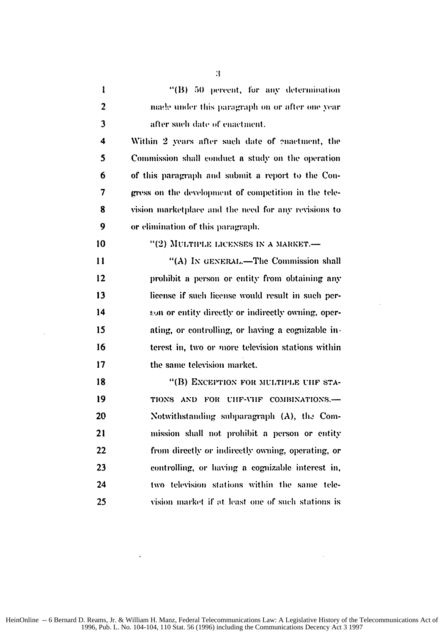| $\mathbf{I}$  | "(B) 50 percent, for any determination               |
|---------------|------------------------------------------------------|
| 2             | made under this paragraph on or after one year.      |
| 3             | after such date of enactment.                        |
| 4             | Within 2 years after such date of enactment, the     |
| 5             | Commission shall conduct a study on the operation    |
| 6             | of this paragraph and submit a report to the Con-    |
| 7             | gress on the development of competition in the tele- |
| 8             | vision marketplace and the need for any revisions to |
| 9             | or elimination of this paragraph.                    |
| 10            | "(2) MULTIPLE LICENSES IN A MARKET.-                 |
| $\mathbf{11}$ | "(A) IN GENERAL.—The Commission shall                |
| 12            | prohibit a person or entity from obtaining any       |
| 13            | license if such license would result in such per-    |
| 14            | son or entity directly or indirectly owning, oper-   |
| 15            | ating, or controlling, or having a cognizable in-    |
| 16            | terest in, two or more television stations within    |
| 17            | the same television market.                          |
| 18            | "(B) EXCEPTION FOR MULTIPLE UHF STA-                 |
| 19            | TIONS AND FOR UHF-VHF COMBINATIONS.-                 |
| 20            | Notwithstanding subparagraph (A), the Com-           |
| 21            | mission shall not prohibit a person or entity        |
| 22            | from directly or indirectly owning, operating, or    |
| 23            | controlling, or having a cognizable interest in,     |
| 24            | two television stations within the same tele-        |
| 25            | vision market if at least one of such stations is    |

 $\bar{z}$ 

 $\ddot{\phantom{0}}$ 

 $\hat{\boldsymbol{\beta}}$ 

 $\boldsymbol{\mathcal{X}}$ 

 $\hat{\mathbf{A}}$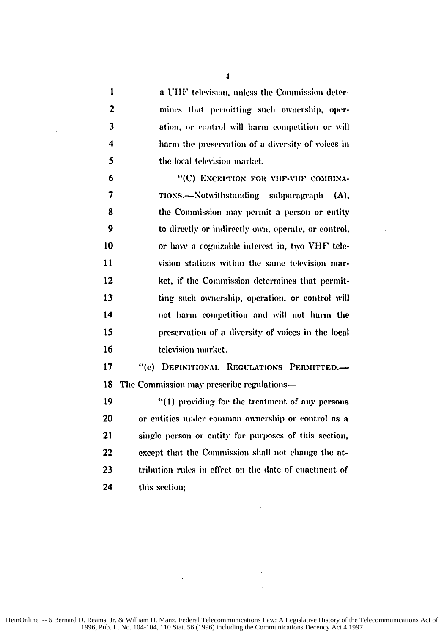- **1 a UIIF** television, unless the Commission deter-**2** inlines that permitting such ownership, oper-3 ation, or control will harm competition or will 4 harm the preservation of a diversity of voices in 5 the local television market. 6 "(C) EXCEPTION FOR VHF-VHF COMBINA-**7 TIONS.—Notwithstanding subparagraph (A),** 8 the Commission may permit a person or entity 9 to directly **or** indirectly **own,** operate, or control, **10** or have a cognlizable interest in, two **VTIF** tele-**11** vision stations within the same television mar-12 ket, if the Commission determines that permit-13 ting such ownership, operation, or control will 14 not harm competition and will not harm the 15 preservation of a diversity of voices in the local 16 television market. 17 • "(e) DEFINITIONAL REGULATIONS PERMITTED. **18 The Commission may prescribe regulations—** 19 **19 "**(1) providing for the treatment of any persons 20 or entities under common ownership or control as a
- 21 single person or entity **for** purposes of this section, 22 except that the Commission shall not change the at-**23** tribution **riles** in effect on the (late of enactment of 24 this section;

4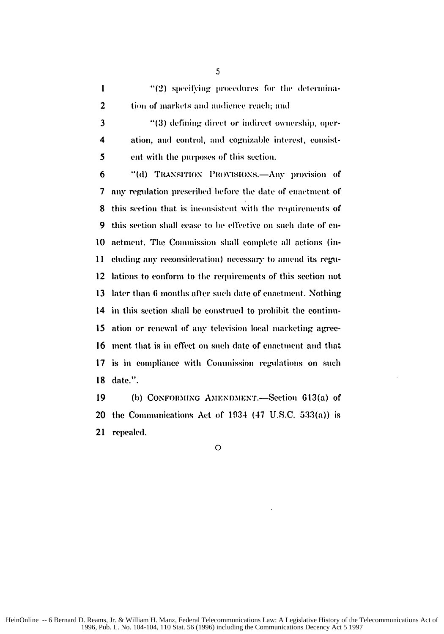| "(2) specifying procedures for the determina- |  |
|-----------------------------------------------|--|
| tion of markets and audience reach; and       |  |

 $\overline{\mathbf{3}}$ "(3) defining direct or indirect ownership, operation, and control, and cognizable interest, consist-4 5 ent with the purposes of this section.

6 "(d) TRANSITION PROVISIONS.- Any provision of any regulation prescribed before the date of enactment of 7 this section that is inconsistent with the requirements of 8 this section shall cease to be effective on such date of en-9 actment. The Commission shall complete all actions (in- $10$  $11$ cluding any reconsideration) necessary to amend its regu- $12 \,$ lations to conform to the requirements of this section not 13 later than 6 months after such date of enactment. Nothing in this section shall be construed to prohibit the continu-14 ation or renewal of any television local marketing agree-15 16 ment that is in effect on such date of enactment and that  $17$ is in compliance with Commission regulations on such date.". 18

(b) CONFORMING AMENDMENT.-Section 613(a) of 19 20 the Communications Act of 1934 (47 U.S.C. 533(a)) is 21 repealed.

 $\circ$ 

 $\overline{5}$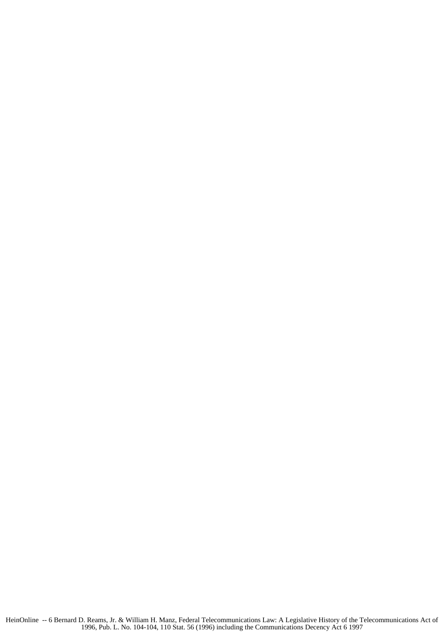HeinOnline -- 6 Bernard D. Reams, Jr. & William H. Manz, Federal Telecommunications Law: A Legislative History of the Telecommunications Act of 1996, Pub. L. No. 104-104, 110 Stat. 56 (1996) including the Communications Decency Act 6 1997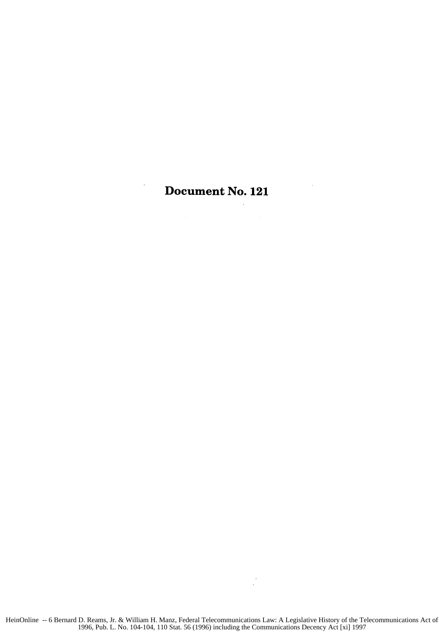### Document No. 121

 $\frac{1}{2}$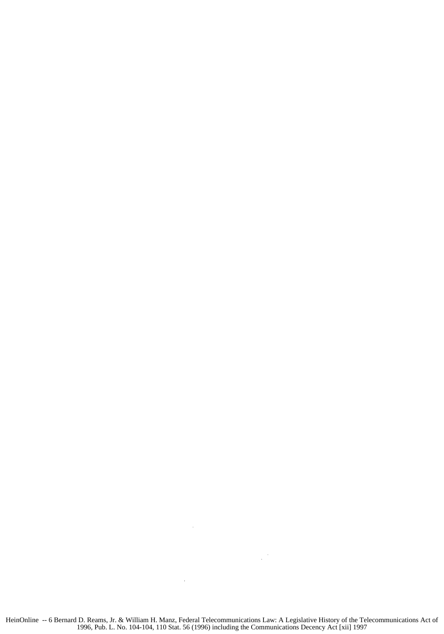HeinOnline -- 6 Bernard D. Reams, Jr. & William H. Manz, Federal Telecommunications Law: A Legislative History of the Telecommunications Act of 1996, Pub. L. No. 104-104, 110 Stat. 56 (1996) including the Communications Decency Act [xii] 1997

 $\sim$   $\sim$ 

 $\label{eq:2} \frac{1}{\sqrt{2}}\left(\frac{1}{\sqrt{2}}\right)^2$